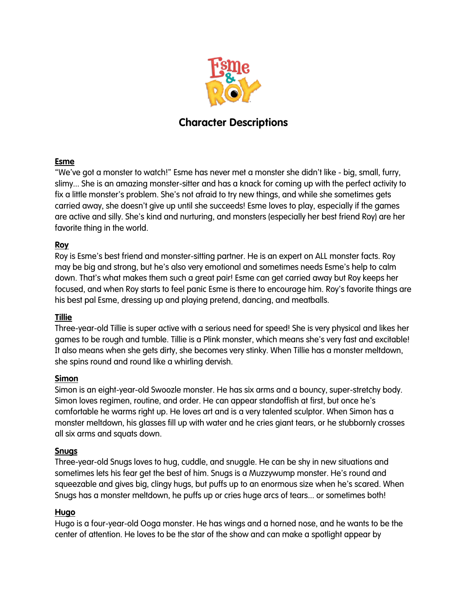

# **Character Descriptions**

## **Esme**

"We've got a monster to watch!" Esme has never met a monster she didn't like - big, small, furry, slimy... She is an amazing monster-sitter and has a knack for coming up with the perfect activity to fix a little monster's problem. She's not afraid to try new things, and while she sometimes gets carried away, she doesn't give up until she succeeds! Esme loves to play, especially if the games are active and silly. She's kind and nurturing, and monsters (especially her best friend Roy) are her favorite thing in the world.

## **Roy**

Roy is Esme's best friend and monster-sitting partner. He is an expert on ALL monster facts. Roy may be big and strong, but he's also very emotional and sometimes needs Esme's help to calm down. That's what makes them such a great pair! Esme can get carried away but Roy keeps her focused, and when Roy starts to feel panic Esme is there to encourage him. Roy's favorite things are his best pal Esme, dressing up and playing pretend, dancing, and meatballs.

#### **Tillie**

Three-year-old Tillie is super active with a serious need for speed! She is very physical and likes her games to be rough and tumble. Tillie is a Plink monster, which means she's very fast and excitable! It also means when she gets dirty, she becomes very stinky. When Tillie has a monster meltdown, she spins round and round like a whirling dervish.

#### **Simon**

Simon is an eight-year-old Swoozle monster. He has six arms and a bouncy, super-stretchy body. Simon loves regimen, routine, and order. He can appear standoffish at first, but once he's comfortable he warms right up. He loves art and is a very talented sculptor. When Simon has a monster meltdown, his glasses fill up with water and he cries giant tears, or he stubbornly crosses all six arms and squats down.

#### **Snugs**

Three-year-old Snugs loves to hug, cuddle, and snuggle. He can be shy in new situations and sometimes lets his fear get the best of him. Snugs is a Muzzywump monster. He's round and squeezable and gives big, clingy hugs, but puffs up to an enormous size when he's scared. When Snugs has a monster meltdown, he puffs up or cries huge arcs of tears... or sometimes both!

#### **Hugo**

Hugo is a four-year-old Ooga monster. He has wings and a horned nose, and he wants to be the center of attention. He loves to be the star of the show and can make a spotlight appear by